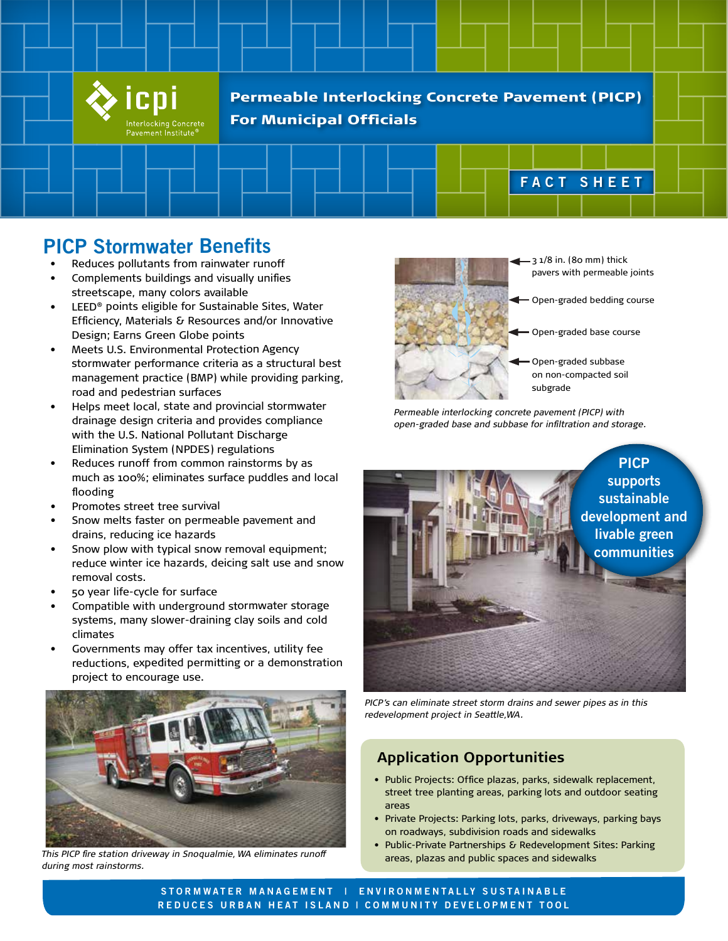

Permeable Interlocking Concrete Pavement (PICP) For Municipal Officials

# **PICP Stormwater Benefits**

- Reduces pollutants from rainwater runoff
- Complements buildings and visually unifies streetscape, many colors available
- LEED<sup>®</sup> points eligible for Sustainable Sites, Water Efficiency, Materials & Resources and/or Innovative Design; Earns Green Globe points
- Meets U.S. Environmental Protection Agency stormwater performance criteria as a structural best management practice (BMP) while providing parking, road and pedestrian surfaces
- Helps meet local, state and provincial stormwater drainage design criteria and provides compliance with the U.S. National Pollutant Discharge Elimination System (NPDES) regulations
- Reduces runoff from common rainstorms by as much as 100%; eliminates surface puddles and local flooding
- Promotes street tree survival
- Snow melts faster on permeable pavement and drains, reducing ice hazards
- Snow plow with typical snow removal equipment; reduce winter ice hazards, deicing salt use and snow removal costs.
- 50 year life-cycle for surface
- Compatible with underground stormwater storage systems, many slower-draining clay soils and cold climates
- Governments may offer tax incentives, utility fee reductions, expedited permitting or a demonstration project to encourage use.



*This PICP fire station driveway in Snoqualmie, WA eliminates runoff during most rainstorms.*



3 1/8 in. (80 mm) thick pavers with permeable joints

**FACT SHEET**

- Open-graded bedding course
- Open-graded base course
- Open-graded subbase on non-compacted soil subgrade

*Permeable interlocking concrete pavement (PICP) with open-graded base and subbase for infiltration and storage.*



*PICP's can eliminate street storm drains and sewer pipes as in this redevelopment project in Seattle,WA.*

## **Application Opportunities**

- Public Projects: Office plazas, parks, sidewalk replacement, street tree planting areas, parking lots and outdoor seating areas
- Private Projects: Parking lots, parks, driveways, parking bays on roadways, subdivision roads and sidewalks
- Public-Private Partnerships & Redevelopment Sites: Parking areas, plazas and public spaces and sidewalks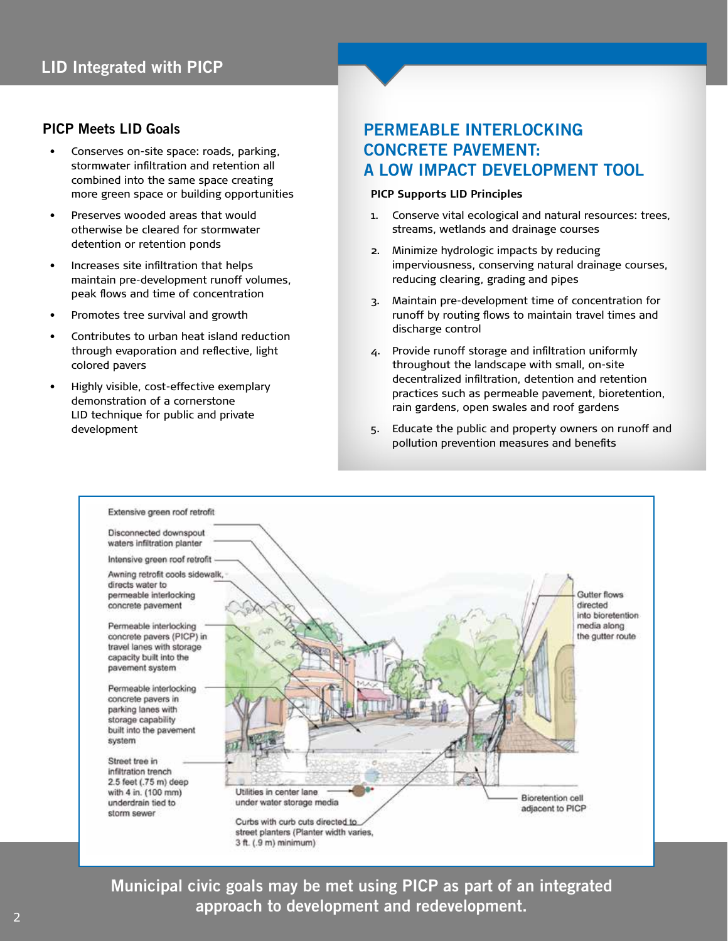#### **PICP Meets LID Goals**

- Conserves on-site space: roads, parking, stormwater infiltration and retention all combined into the same space creating more green space or building opportunities
- Preserves wooded areas that would otherwise be cleared for stormwater detention or retention ponds
- Increases site infiltration that helps maintain pre-development runoff volumes, peak flows and time of concentration
- Promotes tree survival and growth
- Contributes to urban heat island reduction through evaporation and reflective, light colored pavers
- Highly visible, cost-effective exemplary demonstration of a cornerstone LID technique for public and private development

## **PERMEABLE INTERLOCKING CONCRETE PAVEMENT: A LOW IMPACT DEVELOPMENT TOOL**

#### **PICP Supports LID Principles**

- 1. Conserve vital ecological and natural resources: trees, streams, wetlands and drainage courses
- 2. Minimize hydrologic impacts by reducing imperviousness, conserving natural drainage courses, reducing clearing, grading and pipes
- 3. Maintain pre-development time of concentration for runoff by routing flows to maintain travel times and discharge control
- 4. Provide runoff storage and infiltration uniformly throughout the landscape with small, on-site decentralized infiltration, detention and retention practices such as permeable pavement, bioretention, rain gardens, open swales and roof gardens
- 5. Educate the public and property owners on runoff and pollution prevention measures and benefits



**Municipal civic goals may be met using PICP as part of an integrated approach to development and redevelopment.**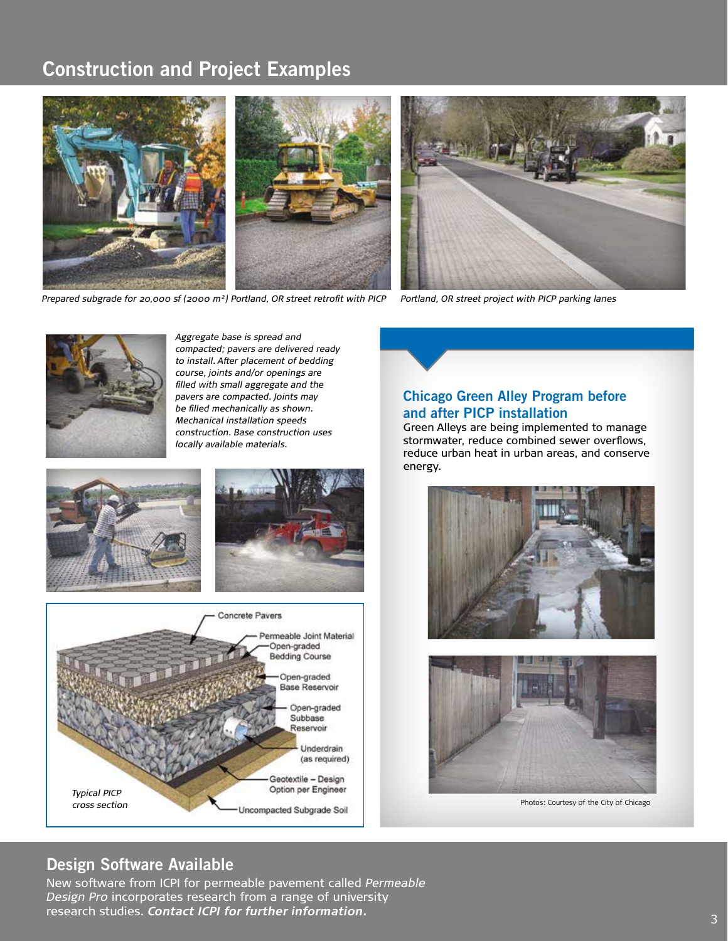# **Construction and Project Examples**



*Prepared subgrade for 20,000 sf (2000 m²) Portland, OR street retrofit with PICP*





*Aggregate base is spread and compacted; pavers are delivered ready to install. After placement of bedding course, joints and/or openings are filled with small aggregate and the pavers are compacted. Joints may be filled mechanically as shown. Mechanical installation speeds construction. Base construction uses locally available materials.*





**Chicago Green Alley Program before and after PICP installation** 

Green Alleys are being implemented to manage stormwater, reduce combined sewer overflows, reduce urban heat in urban areas, and conserve energy.





Photos: Courtesy of the City of Chicago

## **Design Software Available**

New software from ICPI for permeable pavement called *Permeable Design Pro* incorporates research from a range of university research studies. *Contact ICPI for further information.*